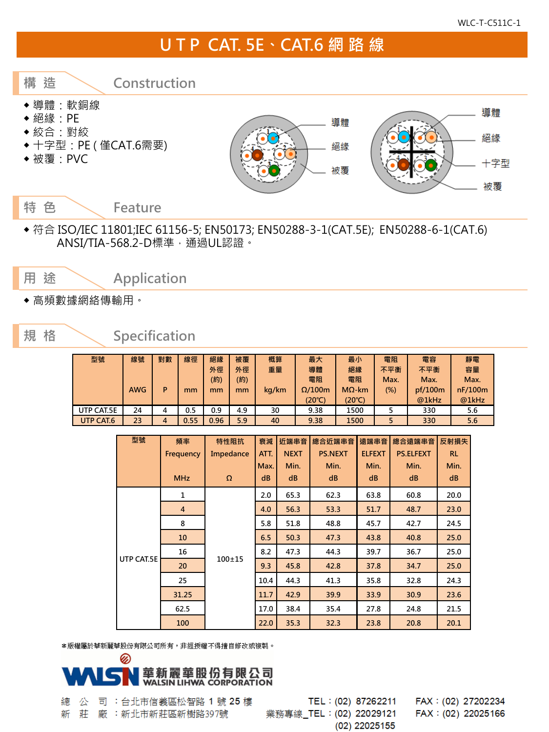## U T P CAT. 5E、CAT.6 網 路 線



◆ 符合 ISO/IEC 11801;IEC 61156-5; EN50173; EN50288-3-1(CAT.5E); EN50288-6-1(CAT.6) ANSI/TIA-568.2-D標準,通過UL認證。

用 途 < Application

◆ 高頻數據網絡傳輸用。

## 規 格 Specification

| 型號         | 線號         | 對數 | 線徑   | 絕緣   | 被覆  | 概算    | 最大              | 最小            | 電阻   | 電容      | 靜電      |
|------------|------------|----|------|------|-----|-------|-----------------|---------------|------|---------|---------|
|            |            |    |      | 外徑   | 外徑  | 重量    | 導體              | 絕緣            | 不平衡  | 不平衡     | 容量      |
|            |            |    |      | (約)  | (約) |       | 電阻              | 電阻            | Max. | Max.    | Max.    |
|            | <b>AWG</b> | P  | mm   | mm   | mm  | kg/km | $\Omega$ /100m  | $M\Omega$ -km | (%)  | pf/100m | nF/100m |
|            |            |    |      |      |     |       | $(20^{\circ}C)$ | (20°C)        |      | @1kHz   | @1kHz   |
| UTP CAT.5E | 24         | 4  | 0.5  | 0.9  | 4.9 | 30    | 9.38            | 1500          |      | 330     | 5.6     |
| UTP CAT.6  | 23         | 4  | 0.55 | 0.96 | 5.9 | 40    | 9.38            | 1500          |      | 330     | 5.6     |

| 型號         | 頻率             | 特性阻抗       | 衰減         | 近端串音        | 總合近端串音         | 遠端串音          | 總合遠端串音           | 反射損失       |
|------------|----------------|------------|------------|-------------|----------------|---------------|------------------|------------|
|            | Frequency      | Impedance  | ATT.       | <b>NEXT</b> | <b>PS.NEXT</b> | <b>ELFEXT</b> | <b>PS.ELFEXT</b> | <b>RL</b>  |
|            | <b>MHz</b>     | $\Omega$   | Max.<br>dB | Min.<br>dB  | Min.<br>dB     | Min.<br>dB    | Min.<br>dB       | Min.<br>dB |
|            | 1              |            | 2.0        | 65.3        | 62.3           | 63.8          | 60.8             | 20.0       |
|            | $\overline{4}$ |            | 4.0        | 56.3        | 53.3           | 51.7          | 48.7             | 23.0       |
|            | 8              |            | 5.8        | 51.8        | 48.8           | 45.7          | 42.7             | 24.5       |
|            | 10             |            | 6.5        | 50.3        | 47.3           | 43.8          | 40.8             | 25.0       |
|            | 16             | $100 + 15$ | 8.2        | 47.3        | 44.3           | 39.7          | 36.7             | 25.0       |
| UTP CAT.5E | 20             |            | 9.3        | 45.8        | 42.8           | 37.8          | 34.7             | 25.0       |
|            | 25             |            | 10.4       | 44.3        | 41.3           | 35.8          | 32.8             | 24.3       |
|            | 31.25          |            | 11.7       | 42.9        | 39.9           | 33.9          | 30.9             | 23.6       |
|            | 62.5           |            | 17.0       | 38.4        | 35.4           | 27.8          | 24.8             | 21.5       |
|            | 100            |            | 22.0       | 35.3        | 32.3           | 23.8          | 20.8             | 20.1       |

\*版權屬於華新麗華股份有限公司所有,非經授權不得擅自修改或複製。



司:台北市信義區松智路 1號 25樓 練 公 莊 廠 : 新北市新莊區新樹路397號 新

TEL: (02) 87262211 業務專線\_TEL: (02) 22029121 (02) 22025155

FAX: (02) 27202234 FAX: (02) 22025166